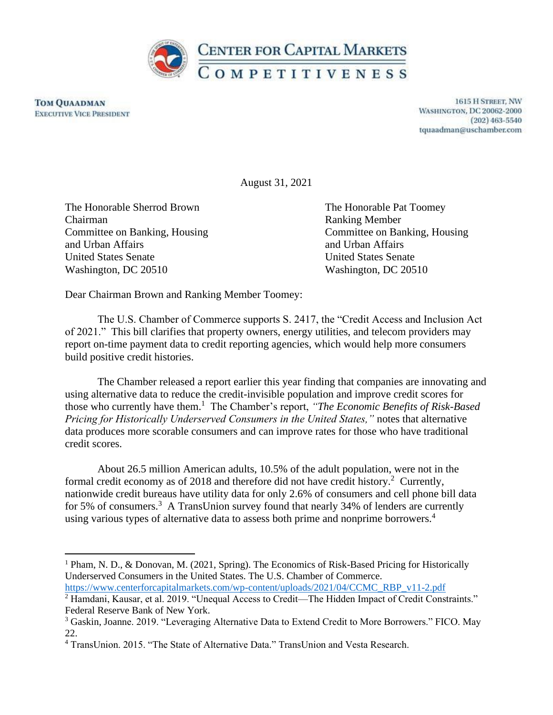

**TOM QUAADMAN EXECUTIVE VICE PRESIDENT** 

1615 H STREET, NW **WASHINGTON, DC 20062-2000**  $(202)$  463-5540 tquaadman@uschamber.com

August 31, 2021

The Honorable Sherrod Brown The Honorable Pat Toomey Chairman Ranking Member and Urban Affairs and Urban Affairs and Urban Affairs and Urban Affairs United States Senate United States Senate Washington, DC 20510 Washington, DC 20510

Committee on Banking, Housing Committee on Banking, Housing

Dear Chairman Brown and Ranking Member Toomey:

The U.S. Chamber of Commerce supports S. 2417, the "Credit Access and Inclusion Act of 2021." This bill clarifies that property owners, energy utilities, and telecom providers may report on-time payment data to credit reporting agencies, which would help more consumers build positive credit histories.

The Chamber released a report earlier this year finding that companies are innovating and using alternative data to reduce the credit-invisible population and improve credit scores for those who currently have them.<sup>1</sup> The Chamber's report, *"The Economic Benefits of Risk-Based Pricing for Historically Underserved Consumers in the United States,"* notes that alternative data produces more scorable consumers and can improve rates for those who have traditional credit scores.

About 26.5 million American adults, 10.5% of the adult population, were not in the formal credit economy as of 2018 and therefore did not have credit history.<sup>2</sup> Currently, nationwide credit bureaus have utility data for only 2.6% of consumers and cell phone bill data for 5% of consumers.<sup>3</sup> A TransUnion survey found that nearly 34% of lenders are currently using various types of alternative data to assess both prime and nonprime borrowers.<sup>4</sup>

<sup>&</sup>lt;sup>1</sup> Pham, N. D., & Donovan, M. (2021, Spring). The Economics of Risk-Based Pricing for Historically Underserved Consumers in the United States. The U.S. Chamber of Commerce. [https://www.centerforcapitalmarkets.com/wp-content/uploads/2021/04/CCMC\\_RBP\\_v11-2.pdf](https://www.centerforcapitalmarkets.com/wp-content/uploads/2021/04/CCMC_RBP_v11-2.pdf) 

<sup>&</sup>lt;sup>2</sup> Hamdani, Kausar, et al. 2019. "Unequal Access to Credit—The Hidden Impact of Credit Constraints." Federal Reserve Bank of New York.

<sup>3</sup> Gaskin, Joanne. 2019. "Leveraging Alternative Data to Extend Credit to More Borrowers." FICO. May 22.

<sup>4</sup> TransUnion. 2015. "The State of Alternative Data." TransUnion and Vesta Research.